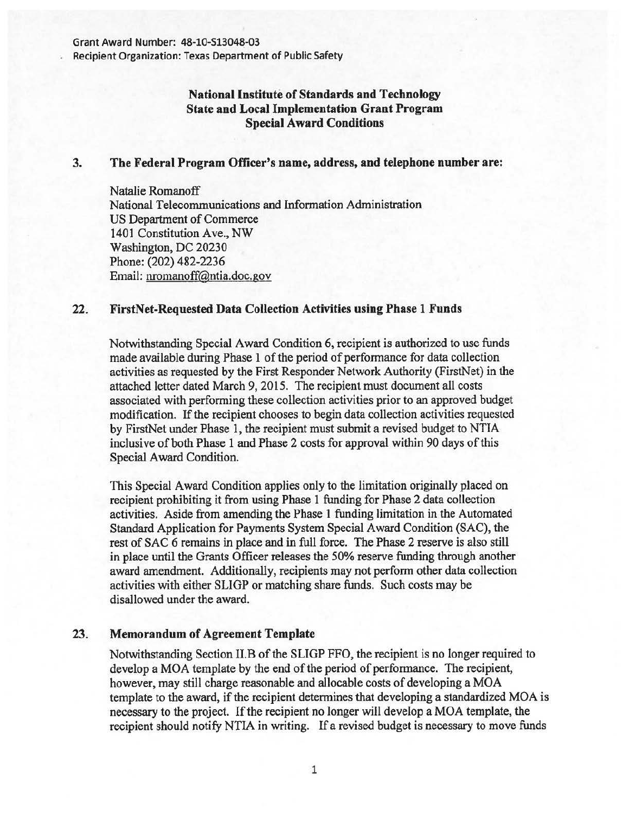Recipient Organization: Texas Department of Public Safety

## National Institute of Standards and Technology State and Local Implementation Grant Program Special Award Conditions

## 3. The Federal Program Officer's name, address, and telephone number are:

Natalie Romanoff National Telecommunications and Information Administration US Department of Commerce 1401 Constitution Ave., NW Washington, DC 20230 Phone: (202) 482-2236 Email: nromanoff@ntia.doc.gov

## 22. FirstNet-Requested Data Collection Activities using Phase 1 Funds

Notwithstanding Special Award Condition 6, recipient is authorized to use funds made available during Phase 1 of the period of performance for data collection activities as requested by the First Responder Network Authority (FirstNet) in the attached letter dated March 9, 2015. The recipient must document all costs associated with performing these collection activities prior to an approved budget modification. If the recipient chooses to begin data collection activities requested by FirstNet under Phase 1, the recipient must submit a revised budget to NTIA inclusive of both Phase 1 and Phase 2 costs for approval within 90 days of this Special Award Condition.

This Special Award Condition applies only to the limitation originally placed on recipient prohibiting it from using Phase 1 funding for Phase 2 data collection activities. Aside from amending the Phase 1 funding limitation in the Automated Standard Application for Payments System Special Award Condition (SAC), the rest of SAC 6 remains in place and in full force. The Phase 2 reserve is also still in place until the Grants Officer releases the 50% reserve funding through another award amendment. Additionally, recipients may not perform other data collection activities with either SLIGP or matching share funds. Such costs may be disallowed under the award.

## 23. Memorandum of Agreement Template

Notwithstanding Section II.B of the SLIGP FFO, the recipient is no longer required to develop a MOA template by the end of the period of performance. The recipient, however, may still charge reasonable and allocable costs of developing a MOA template to the award, if the recipient determines that developing a standardized MOA is necessary to the project. If the recipient no longer will develop a MOA template, the recipient should notify NTIA in writing. If a revised budget is necessary to move funds

1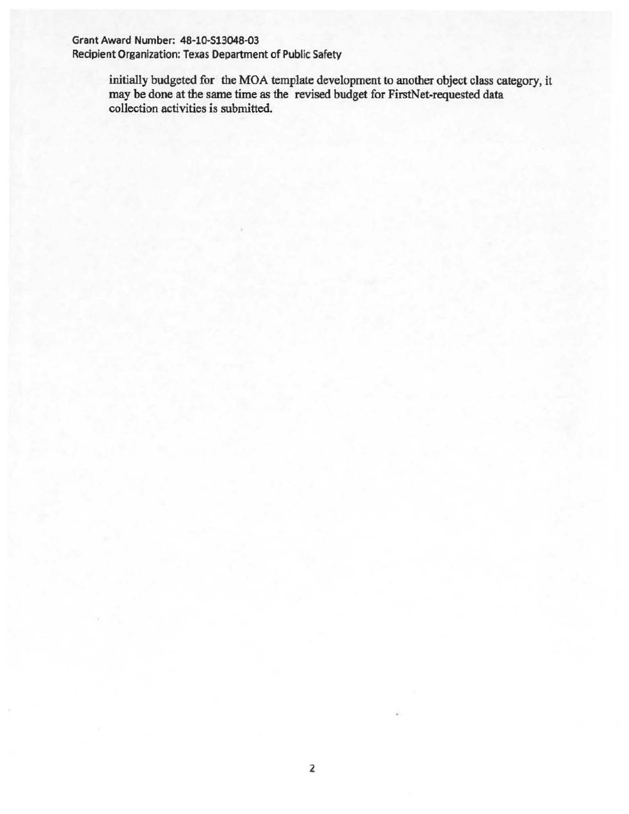Grant Award Number: 48-10-513048-03

Recipient Organization: Texas Department of Public Safety

initially budgeted for the MOA template development to another object class category, it may be done at the same time as the revised budget for FirstNet-requested data collection activities is submitted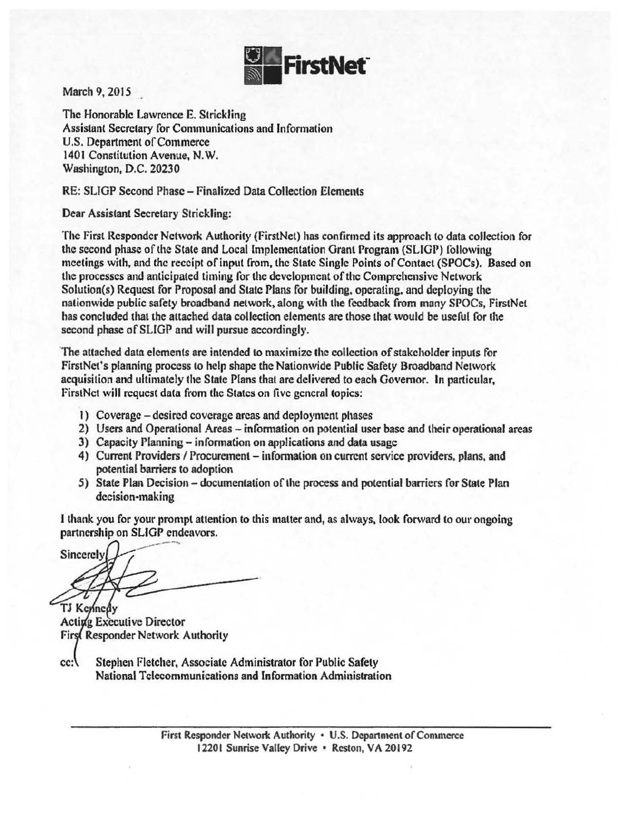

March 9, 2015

The Honorable Lawrence E. Strickling Assistant Secretary for Communications and Information U.S. Department of Commerce 1401 Constitution Avenue, N. W. Washington, D.C. 20230

RE: SLIGP Second Phase - Finalized Data Collection Elements

Dear Assistant Secretary Strickling:

The First Responder Network Authority (FirstNet) has confirmed its approach to data collection for the second phase of the State and Local Implementation Grant Program (SLIGP) following meetings with, and the receipt of input from, the State Single Points of Contact (SPOCs). Based on the processes and anticipated timing for the development of the Comprehensive Network Solution(s) Request for Proposal and State Plans for building, operating. and deploying the nationwide public safety broadband network. along with the feedback from many SPOCs, FirstNet has concluded that the attached data collection elements are those that would be useful for the second phase of SLIGP and will pursue accordingly.

'The attached data elements are intended to maximize the collection of stakeholder inputs for FirstNet's planning process to help shape the Nationwide Public Safety Broadband Network acquisition and ultimately the State Plans that are delivered to each Governor. In particular, firstNct will request data from the States on five general topics:

- 1) Coverage desired coverage areas and deployment phases
- 2) Users and Operational Areas information on potential user base and their operational areas
- 3) Capacity Planning information on applications and data usage
- 4) Current Providers / Procurement information on current service providers, plans, and potential barriers to adoption
- 5) State Plan Decision documentation of the process and potential barriers for State Plan decision-making

I thank you for your prompt attention to this matter and, as always, look forward to our ongoing partnership on SLIGP endeavors.

~ Sincerely

TJ Kennedy **Acting Executive Director** First Responder Network Authority

 $cc:$ Stephen Fletcher, Associate Administrator for Public Safety National Telecommunications and Information Administration